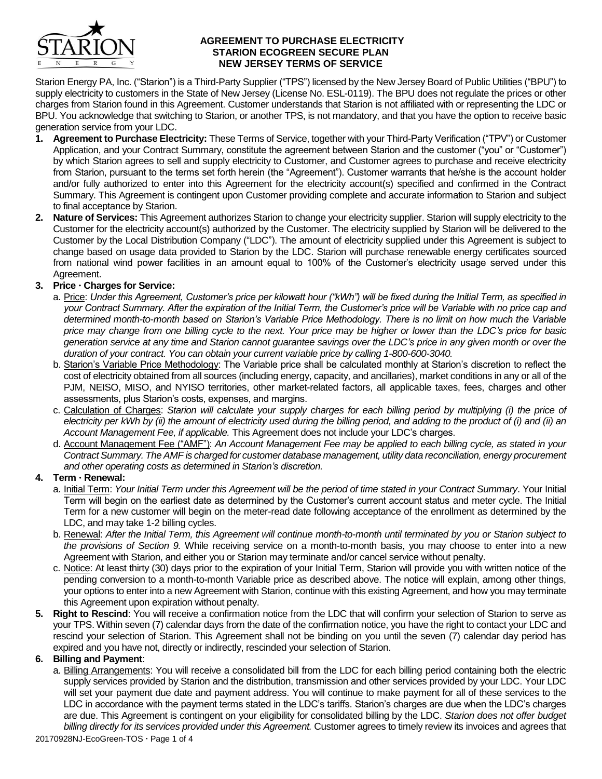

#### **AGREEMENT TO PURCHASE ELECTRICITY STARION ECOGREEN SECURE PLAN NEW JERSEY TERMS OF SERVICE**

Starion Energy PA, Inc. ("Starion") is a Third-Party Supplier ("TPS") licensed by the New Jersey Board of Public Utilities ("BPU") to supply electricity to customers in the State of New Jersey (License No. ESL-0119). The BPU does not regulate the prices or other charges from Starion found in this Agreement. Customer understands that Starion is not affiliated with or representing the LDC or BPU. You acknowledge that switching to Starion, or another TPS, is not mandatory, and that you have the option to receive basic generation service from your LDC.

- **1. Agreement to Purchase Electricity:** These Terms of Service, together with your Third-Party Verification ("TPV") or Customer Application, and your Contract Summary, constitute the agreement between Starion and the customer ("you" or "Customer") by which Starion agrees to sell and supply electricity to Customer, and Customer agrees to purchase and receive electricity from Starion, pursuant to the terms set forth herein (the "Agreement"). Customer warrants that he/she is the account holder and/or fully authorized to enter into this Agreement for the electricity account(s) specified and confirmed in the Contract Summary. This Agreement is contingent upon Customer providing complete and accurate information to Starion and subject to final acceptance by Starion.
- **2. Nature of Services:** This Agreement authorizes Starion to change your electricity supplier. Starion will supply electricity to the Customer for the electricity account(s) authorized by the Customer. The electricity supplied by Starion will be delivered to the Customer by the Local Distribution Company ("LDC"). The amount of electricity supplied under this Agreement is subject to change based on usage data provided to Starion by the LDC. Starion will purchase renewable energy certificates sourced from national wind power facilities in an amount equal to 100% of the Customer's electricity usage served under this Agreement.

## **3. Price Charges for Service:**

- a. Price: *Under this Agreement, Customer's price per kilowatt hour ("kWh") will be fixed during the Initial Term, as specified in your Contract Summary. After the expiration of the Initial Term, the Customer's price will be Variable with no price cap and determined month-to-month based on Starion's Variable Price Methodology. There is no limit on how much the Variable price may change from one billing cycle to the next. Your price may be higher or lower than the LDC's price for basic generation service at any time and Starion cannot guarantee savings over the LDC's price in any given month or over the duration of your contract. You can obtain your current variable price by calling 1-800-600-3040.*
- b. Starion's Variable Price Methodology: The Variable price shall be calculated monthly at Starion's discretion to reflect the cost of electricity obtained from all sources (including energy, capacity, and ancillaries), market conditions in any or all of the PJM, NEISO, MISO, and NYISO territories, other market-related factors, all applicable taxes, fees, charges and other assessments, plus Starion's costs, expenses, and margins.
- c. Calculation of Charges: *Starion will calculate your supply charges for each billing period by multiplying (i) the price of electricity per kWh by (ii) the amount of electricity used during the billing period, and adding to the product of (i) and (ii) an Account Management Fee, if applicable.* This Agreement does not include your LDC's charges.
- d. Account Management Fee ("AMF"): *An Account Management Fee may be applied to each billing cycle, as stated in your Contract Summary. The AMF is charged for customer database management, utility data reconciliation, energy procurement and other operating costs as determined in Starion's discretion.*

## **4. Term Renewal:**

- a. Initial Term: *Your Initial Term under this Agreement will be the period of time stated in your Contract Summary*. Your Initial Term will begin on the earliest date as determined by the Customer's current account status and meter cycle. The Initial Term for a new customer will begin on the meter-read date following acceptance of the enrollment as determined by the LDC, and may take 1-2 billing cycles.
- b. Renewal: *After the Initial Term, this Agreement will continue month-to-month until terminated by you or Starion subject to the provisions of Section 9.* While receiving service on a month-to-month basis, you may choose to enter into a new Agreement with Starion, and either you or Starion may terminate and/or cancel service without penalty.
- c. Notice: At least thirty (30) days prior to the expiration of your Initial Term, Starion will provide you with written notice of the pending conversion to a month-to-month Variable price as described above. The notice will explain, among other things, your options to enter into a new Agreement with Starion, continue with this existing Agreement, and how you may terminate this Agreement upon expiration without penalty.
- **5. Right to Rescind**: You will receive a confirmation notice from the LDC that will confirm your selection of Starion to serve as your TPS. Within seven (7) calendar days from the date of the confirmation notice, you have the right to contact your LDC and rescind your selection of Starion. This Agreement shall not be binding on you until the seven (7) calendar day period has expired and you have not, directly or indirectly, rescinded your selection of Starion.

## **6. Billing and Payment**:

a. Billing Arrangements: You will receive a consolidated bill from the LDC for each billing period containing both the electric supply services provided by Starion and the distribution, transmission and other services provided by your LDC. Your LDC will set your payment due date and payment address. You will continue to make payment for all of these services to the LDC in accordance with the payment terms stated in the LDC's tariffs. Starion's charges are due when the LDC's charges are due. This Agreement is contingent on your eligibility for consolidated billing by the LDC. *Starion does not offer budget billing directly for its services provided under this Agreement.* Customer agrees to timely review its invoices and agrees that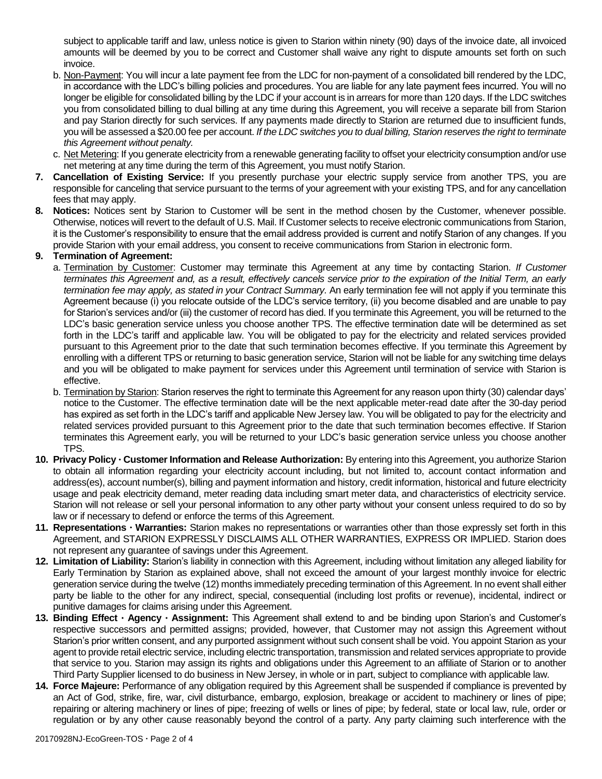subject to applicable tariff and law, unless notice is given to Starion within ninety (90) days of the invoice date, all invoiced amounts will be deemed by you to be correct and Customer shall waive any right to dispute amounts set forth on such invoice.

- b. Non-Payment: You will incur a late payment fee from the LDC for non-payment of a consolidated bill rendered by the LDC, in accordance with the LDC's billing policies and procedures. You are liable for any late payment fees incurred. You will no longer be eligible for consolidated billing by the LDC if your account is in arrears for more than 120 days. If the LDC switches you from consolidated billing to dual billing at any time during this Agreement, you will receive a separate bill from Starion and pay Starion directly for such services. If any payments made directly to Starion are returned due to insufficient funds, you will be assessed a \$20.00 fee per account. *If the LDC switches you to dual billing, Starion reserves the right to terminate this Agreement without penalty.*
- c. Net Metering: If you generate electricity from a renewable generating facility to offset your electricity consumption and/or use net metering at any time during the term of this Agreement, you must notify Starion.
- **7. Cancellation of Existing Service:** If you presently purchase your electric supply service from another TPS, you are responsible for canceling that service pursuant to the terms of your agreement with your existing TPS, and for any cancellation fees that may apply.
- **8. Notices:** Notices sent by Starion to Customer will be sent in the method chosen by the Customer, whenever possible. Otherwise, notices will revert to the default of U.S. Mail. If Customer selects to receive electronic communications from Starion, it is the Customer's responsibility to ensure that the email address provided is current and notify Starion of any changes. If you provide Starion with your email address, you consent to receive communications from Starion in electronic form.

## **9. Termination of Agreement:**

- a. Termination by Customer: Customer may terminate this Agreement at any time by contacting Starion. *If Customer terminates this Agreement and, as a result, effectively cancels service prior to the expiration of the Initial Term, an early termination fee may apply, as stated in your Contract Summary.* An early termination fee will not apply if you terminate this Agreement because (i) you relocate outside of the LDC's service territory, (ii) you become disabled and are unable to pay for Starion's services and/or (iii) the customer of record has died. If you terminate this Agreement, you will be returned to the LDC's basic generation service unless you choose another TPS. The effective termination date will be determined as set forth in the LDC's tariff and applicable law. You will be obligated to pay for the electricity and related services provided pursuant to this Agreement prior to the date that such termination becomes effective. If you terminate this Agreement by enrolling with a different TPS or returning to basic generation service, Starion will not be liable for any switching time delays and you will be obligated to make payment for services under this Agreement until termination of service with Starion is effective.
- b. Termination by Starion: Starion reserves the right to terminate this Agreement for any reason upon thirty (30) calendar days' notice to the Customer. The effective termination date will be the next applicable meter-read date after the 30-day period has expired as set forth in the LDC's tariff and applicable New Jersey law. You will be obligated to pay for the electricity and related services provided pursuant to this Agreement prior to the date that such termination becomes effective. If Starion terminates this Agreement early, you will be returned to your LDC's basic generation service unless you choose another TPS.
- **10. Privacy Policy Customer Information and Release Authorization:** By entering into this Agreement, you authorize Starion to obtain all information regarding your electricity account including, but not limited to, account contact information and address(es), account number(s), billing and payment information and history, credit information, historical and future electricity usage and peak electricity demand, meter reading data including smart meter data, and characteristics of electricity service. Starion will not release or sell your personal information to any other party without your consent unless required to do so by law or if necessary to defend or enforce the terms of this Agreement.
- **11. Representations Warranties:** Starion makes no representations or warranties other than those expressly set forth in this Agreement, and STARION EXPRESSLY DISCLAIMS ALL OTHER WARRANTIES, EXPRESS OR IMPLIED. Starion does not represent any guarantee of savings under this Agreement.
- **12. Limitation of Liability:** Starion's liability in connection with this Agreement, including without limitation any alleged liability for Early Termination by Starion as explained above, shall not exceed the amount of your largest monthly invoice for electric generation service during the twelve (12) months immediately preceding termination of this Agreement. In no event shall either party be liable to the other for any indirect, special, consequential (including lost profits or revenue), incidental, indirect or punitive damages for claims arising under this Agreement.
- **13. Binding Effect Agency Assignment:** This Agreement shall extend to and be binding upon Starion's and Customer's respective successors and permitted assigns; provided, however, that Customer may not assign this Agreement without Starion's prior written consent, and any purported assignment without such consent shall be void. You appoint Starion as your agent to provide retail electric service, including electric transportation, transmission and related services appropriate to provide that service to you. Starion may assign its rights and obligations under this Agreement to an affiliate of Starion or to another Third Party Supplier licensed to do business in New Jersey, in whole or in part, subject to compliance with applicable law.
- **14. Force Majeure:** Performance of any obligation required by this Agreement shall be suspended if compliance is prevented by an Act of God, strike, fire, war, civil disturbance, embargo, explosion, breakage or accident to machinery or lines of pipe; repairing or altering machinery or lines of pipe; freezing of wells or lines of pipe; by federal, state or local law, rule, order or regulation or by any other cause reasonably beyond the control of a party. Any party claiming such interference with the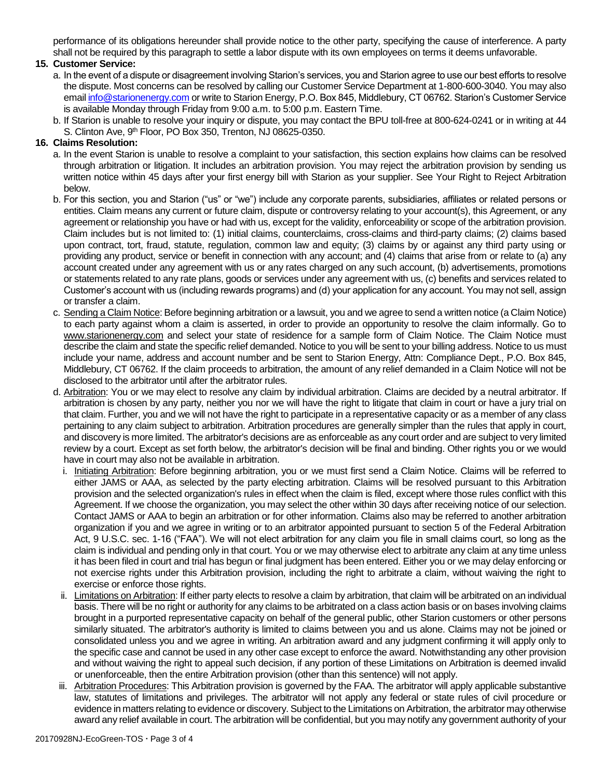performance of its obligations hereunder shall provide notice to the other party, specifying the cause of interference. A party shall not be required by this paragraph to settle a labor dispute with its own employees on terms it deems unfavorable.

# **15. Customer Service:**

- a. In the event of a dispute or disagreement involving Starion's services, you and Starion agree to use our best efforts to resolve the dispute. Most concerns can be resolved by calling our Customer Service Department at 1-800-600-3040. You may also emai[l info@starionenergy.com](mailto:info@starionenergy.com) or write to Starion Energy, P.O. Box 845, Middlebury, CT 06762. Starion's Customer Service is available Monday through Friday from 9:00 a.m. to 5:00 p.m. Eastern Time.
- b. If Starion is unable to resolve your inquiry or dispute, you may contact the BPU toll-free at 800-624-0241 or in writing at 44 S. Clinton Ave, 9<sup>th</sup> Floor, PO Box 350, Trenton, NJ 08625-0350.

#### **16. Claims Resolution:**

- a. In the event Starion is unable to resolve a complaint to your satisfaction, this section explains how claims can be resolved through arbitration or litigation. It includes an arbitration provision. You may reject the arbitration provision by sending us written notice within 45 days after your first energy bill with Starion as your supplier. See Your Right to Reject Arbitration below.
- b. For this section, you and Starion ("us" or "we") include any corporate parents, subsidiaries, affiliates or related persons or entities. Claim means any current or future claim, dispute or controversy relating to your account(s), this Agreement, or any agreement or relationship you have or had with us, except for the validity, enforceability or scope of the arbitration provision. Claim includes but is not limited to: (1) initial claims, counterclaims, cross-claims and third-party claims; (2) claims based upon contract, tort, fraud, statute, regulation, common law and equity; (3) claims by or against any third party using or providing any product, service or benefit in connection with any account; and (4) claims that arise from or relate to (a) any account created under any agreement with us or any rates charged on any such account, (b) advertisements, promotions or statements related to any rate plans, goods or services under any agreement with us, (c) benefits and services related to Customer's account with us (including rewards programs) and (d) your application for any account. You may not sell, assign or transfer a claim.
- c. Sending a Claim Notice: Before beginning arbitration or a lawsuit, you and we agree to send a written notice (a Claim Notice) to each party against whom a claim is asserted, in order to provide an opportunity to resolve the claim informally. Go to www.starionenergy.com and select your state of residence for a sample form of Claim Notice. The Claim Notice must describe the claim and state the specific relief demanded. Notice to you will be sent to your billing address. Notice to us must include your name, address and account number and be sent to Starion Energy, Attn: Compliance Dept., P.O. Box 845, Middlebury, CT 06762. If the claim proceeds to arbitration, the amount of any relief demanded in a Claim Notice will not be disclosed to the arbitrator until after the arbitrator rules.
- d. Arbitration: You or we may elect to resolve any claim by individual arbitration. Claims are decided by a neutral arbitrator. If arbitration is chosen by any party, neither you nor we will have the right to litigate that claim in court or have a jury trial on that claim. Further, you and we will not have the right to participate in a representative capacity or as a member of any class pertaining to any claim subject to arbitration. Arbitration procedures are generally simpler than the rules that apply in court, and discovery is more limited. The arbitrator's decisions are as enforceable as any court order and are subject to very limited review by a court. Except as set forth below, the arbitrator's decision will be final and binding. Other rights you or we would have in court may also not be available in arbitration.
	- i. Initiating Arbitration: Before beginning arbitration, you or we must first send a Claim Notice. Claims will be referred to either JAMS or AAA, as selected by the party electing arbitration. Claims will be resolved pursuant to this Arbitration provision and the selected organization's rules in effect when the claim is filed, except where those rules conflict with this Agreement. If we choose the organization, you may select the other within 30 days after receiving notice of our selection. Contact JAMS or AAA to begin an arbitration or for other information. Claims also may be referred to another arbitration organization if you and we agree in writing or to an arbitrator appointed pursuant to section 5 of the Federal Arbitration Act, 9 U.S.C. sec. 1-16 ("FAA"). We will not elect arbitration for any claim you file in small claims court, so long as the claim is individual and pending only in that court. You or we may otherwise elect to arbitrate any claim at any time unless it has been filed in court and trial has begun or final judgment has been entered. Either you or we may delay enforcing or not exercise rights under this Arbitration provision, including the right to arbitrate a claim, without waiving the right to exercise or enforce those rights.
	- ii. Limitations on Arbitration: If either party elects to resolve a claim by arbitration, that claim will be arbitrated on an individual basis. There will be no right or authority for any claims to be arbitrated on a class action basis or on bases involving claims brought in a purported representative capacity on behalf of the general public, other Starion customers or other persons similarly situated. The arbitrator's authority is limited to claims between you and us alone. Claims may not be joined or consolidated unless you and we agree in writing. An arbitration award and any judgment confirming it will apply only to the specific case and cannot be used in any other case except to enforce the award. Notwithstanding any other provision and without waiving the right to appeal such decision, if any portion of these Limitations on Arbitration is deemed invalid or unenforceable, then the entire Arbitration provision (other than this sentence) will not apply.
- iii. Arbitration Procedures: This Arbitration provision is governed by the FAA. The arbitrator will apply applicable substantive law, statutes of limitations and privileges. The arbitrator will not apply any federal or state rules of civil procedure or evidence in matters relating to evidence or discovery. Subject to the Limitations on Arbitration, the arbitrator may otherwise award any relief available in court. The arbitration will be confidential, but you may notify any government authority of your